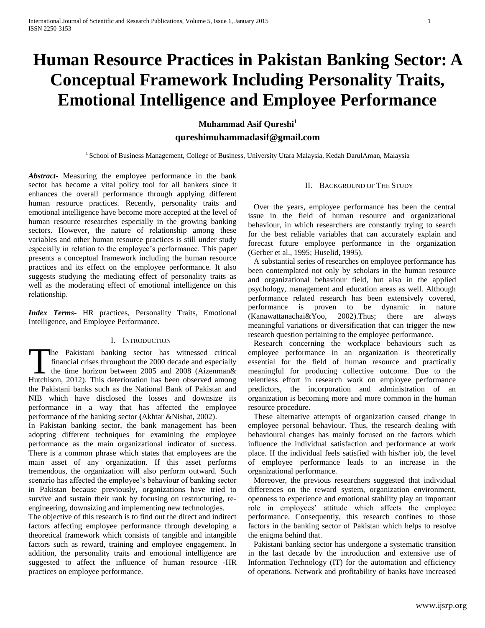# **Human Resource Practices in Pakistan Banking Sector: A Conceptual Framework Including Personality Traits, Emotional Intelligence and Employee Performance**

**Muhammad Asif Qureshi<sup>1</sup> qureshimuhammadasif@gmail.com**

<sup>1</sup> School of Business Management, College of Business, University Utara Malaysia, Kedah DarulAman, Malaysia

*Abstract***-** Measuring the employee performance in the bank sector has become a vital policy tool for all bankers since it enhances the overall performance through applying different human resource practices. Recently, personality traits and emotional intelligence have become more accepted at the level of human resource researches especially in the growing banking sectors. However, the nature of relationship among these variables and other human resource practices is still under study especially in relation to the employee's performance. This paper presents a conceptual framework including the human resource practices and its effect on the employee performance. It also suggests studying the mediating effect of personality traits as well as the moderating effect of emotional intelligence on this relationship.

*Index Terms*- HR practices, Personality Traits, Emotional Intelligence, and Employee Performance.

# I. INTRODUCTION

he Pakistani banking sector has witnessed critical financial crises throughout the 2000 decade and especially The Pakistani banking sector has witnessed critical<br>financial crises throughout the 2000 decade and especially<br>the time horizon between 2005 and 2008 (Aizenman&<br>Hutchison 2012) This deterioration has been observed among Hutchison, 2012). This deterioration has been observed among the Pakistani banks such as the National Bank of Pakistan and NIB which have disclosed the losses and downsize its performance in a way that has affected the employee performance of the banking sector **(**Akhtar &Nishat, 2002).

In Pakistan banking sector, the bank management has been adopting different techniques for examining the employee performance as the main organizational indicator of success. There is a common phrase which states that employees are the main asset of any organization. If this asset performs tremendous, the organization will also perform outward. Such scenario has affected the employee's behaviour of banking sector in Pakistan because previously, organizations have tried to survive and sustain their rank by focusing on restructuring, reengineering, downsizing and implementing new technologies.

The objective of this research is to find out the direct and indirect factors affecting employee performance through developing a theoretical framework which consists of tangible and intangible factors such as reward, training and employee engagement. In addition, the personality traits and emotional intelligence are suggested to affect the influence of human resource -HR practices on employee performance.

## II. BACKGROUND OF THE STUDY

Over the years, employee performance has been the central issue in the field of human resource and organizational behaviour, in which researchers are constantly trying to search for the best reliable variables that can accurately explain and forecast future employee performance in the organization (Gerber et al., 1995; Huselid, 1995).

A substantial series of researches on employee performance has been contemplated not only by scholars in the human resource and organizational behaviour field, but also in the applied psychology, management and education areas as well. Although performance related research has been extensively covered, performance is proven to be dynamic in nature (Kanawattanachai&Yoo, 2002).Thus; there are always meaningful variations or diversification that can trigger the new research question pertaining to the employee performance.

Research concerning the workplace behaviours such as employee performance in an organization is theoretically essential for the field of human resource and practically meaningful for producing collective outcome. Due to the relentless effort in research work on employee performance predictors, the incorporation and administration of an organization is becoming more and more common in the human resource procedure.

These alternative attempts of organization caused change in employee personal behaviour. Thus, the research dealing with behavioural changes has mainly focused on the factors which influence the individual satisfaction and performance at work place. If the individual feels satisfied with his/her job, the level of employee performance leads to an increase in the organizational performance.

Moreover, the previous researchers suggested that individual differences on the reward system, organization environment, openness to experience and emotional stability play an important role in employees' attitude which affects the employee performance. Consequently, this research confines to those factors in the banking sector of Pakistan which helps to resolve the enigma behind that.

Pakistani banking sector has undergone a systematic transition in the last decade by the introduction and extensive use of Information Technology (IT) for the automation and efficiency of operations. Network and profitability of banks have increased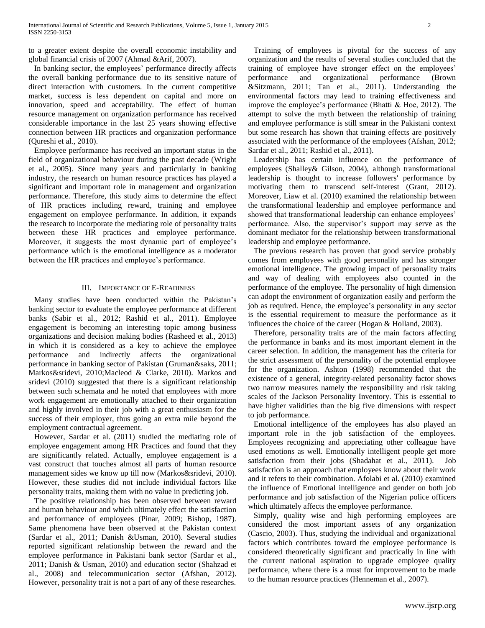to a greater extent despite the overall economic instability and global financial crisis of 2007 (Ahmad &Arif, 2007).

In banking sector, the employees' performance directly affects the overall banking performance due to its sensitive nature of direct interaction with customers. In the current competitive market, success is less dependent on capital and more on innovation, speed and acceptability. The effect of human resource management on organization performance has received considerable importance in the last 25 years showing effective connection between HR practices and organization performance (Qureshi et al., 2010).

Employee performance has received an important status in the field of organizational behaviour during the past decade (Wright et al., 2005). Since many years and particularly in banking industry, the research on human resource practices has played a significant and important role in management and organization performance. Therefore, this study aims to determine the effect of HR practices including reward, training and employee engagement on employee performance. In addition, it expands the research to incorporate the mediating role of personality traits between these HR practices and employee performance. Moreover, it suggests the most dynamic part of employee's performance which is the emotional intelligence as a moderator between the HR practices and employee's performance.

# III. IMPORTANCE OF E-READINESS

Many studies have been conducted within the Pakistan's banking sector to evaluate the employee performance at different banks (Sabir et al., 2012; Rashid et al., 2011). Employee engagement is becoming an interesting topic among business organizations and decision making bodies (Rasheed et al., 2013) in which it is considered as a key to achieve the employee performance and indirectly affects the organizational performance in banking sector of Pakistan (Gruman&saks, 2011; Markos&sridevi, 2010;Macleod & Clarke, 2010). Markos and sridevi (2010) suggested that there is a significant relationship between such schemata and he noted that employees with more work engagement are emotionally attached to their organization and highly involved in their job with a great enthusiasm for the success of their employer, thus going an extra mile beyond the employment contractual agreement.

However, Sardar et al. (2011) studied the mediating role of employee engagement among HR Practices and found that they are significantly related. Actually, employee engagement is a vast construct that touches almost all parts of human resource management sides we know up till now (Markos&sridevi, 2010). However, these studies did not include individual factors like personality traits, making them with no value in predicting job.

The positive relationship has been observed between reward and human behaviour and which ultimately effect the satisfaction and performance of employees (Pinar, 2009; Bishop, 1987). Same phenomena have been observed at the Pakistan context (Sardar et al., 2011; Danish &Usman, 2010). Several studies reported significant relationship between the reward and the employee performance in Pakistani bank sector (Sardar et al., 2011; Danish & Usman, 2010) and education sector (Shahzad et al., 2008) and telecommunication sector (Afshan, 2012). However, personality trait is not a part of any of these researches.

Training of employees is pivotal for the success of any organization and the results of several studies concluded that the training of employee have stronger effect on the employees' performance and organizational performance (Brown &Sitzmann, 2011; Tan et al., 2011). Understanding the environmental factors may lead to training effectiveness and improve the employee's performance (Bhatti & Hoe, 2012). The attempt to solve the myth between the relationship of training and employee performance is still smear in the Pakistani context but some research has shown that training effects are positively associated with the performance of the employees (Afshan, 2012; Sardar et al., 2011; Rashid et al., 2011).

Leadership has certain influence on the performance of employees (Shalley& Gilson, 2004), although transformational leadership is thought to increase followers' performance by motivating them to transcend self-interest (Grant, 2012). Moreover, Liaw et al. (2010) examined the relationship between the transformational leadership and employee performance and showed that transformational leadership can enhance employees' performance. Also, the supervisor's support may serve as the dominant mediator for the relationship between transformational leadership and employee performance.

The previous research has proven that good service probably comes from employees with good personality and has stronger emotional intelligence. The growing impact of personality traits and way of dealing with employees also counted in the performance of the employee. The personality of high dimension can adopt the environment of organization easily and perform the job as required. Hence, the employee's personality in any sector is the essential requirement to measure the performance as it influences the choice of the career (Hogan & Holland, 2003).

Therefore, personality traits are of the main factors affecting the performance in banks and its most important element in the career selection. In addition, the management has the criteria for the strict assessment of the personality of the potential employee for the organization. Ashton (1998) recommended that the existence of a general, integrity-related personality factor shows two narrow measures namely the responsibility and risk taking scales of the Jackson Personality Inventory. This is essential to have higher validities than the big five dimensions with respect to job performance.

Emotional intelligence of the employees has also played an important role in the job satisfaction of the employees. Employees recognizing and appreciating other colleague have used emotions as well. Emotionally intelligent people get more satisfaction from their jobs (Shadahat et al., 2011). Job satisfaction is an approach that employees know about their work and it refers to their combination. Afolabi et al. (2010) examined the influence of Emotional intelligence and gender on both job performance and job satisfaction of the Nigerian police officers which ultimately affects the employee performance.

Simply, quality wise and high performing employees are considered the most important assets of any organization (Cascio, 2003). Thus, studying the individual and organizational factors which contributes toward the employee performance is considered theoretically significant and practically in line with the current national aspiration to upgrade employee quality performance, where there is a must for improvement to be made to the human resource practices (Henneman et al., 2007).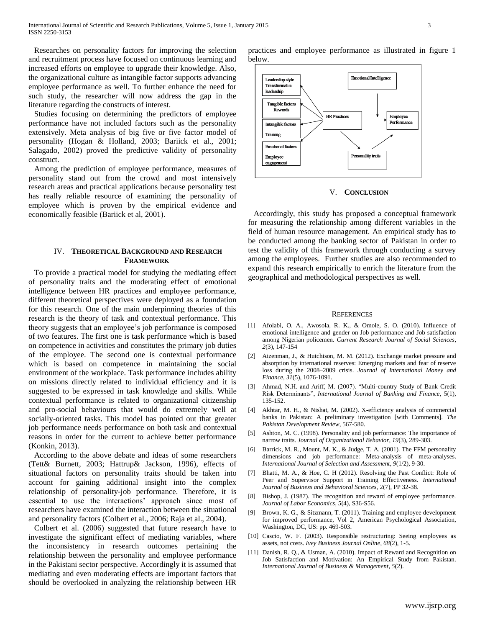Researches on personality factors for improving the selection and recruitment process have focused on continuous learning and increased efforts on employee to upgrade their knowledge. Also, the organizational culture as intangible factor supports advancing employee performance as well. To further enhance the need for such study, the researcher will now address the gap in the literature regarding the constructs of interest.

Studies focusing on determining the predictors of employee performance have not included factors such as the personality extensively. Meta analysis of big five or five factor model of personality (Hogan & Holland, 2003; Bariick et al., 2001; Salagado, 2002) proved the predictive validity of personality construct.

Among the prediction of employee performance, measures of personality stand out from the crowd and most intensively research areas and practical applications because personality test has really reliable resource of examining the personality of employee which is proven by the empirical evidence and economically feasible (Bariick et al, 2001).

## IV. **THEORETICAL BACKGROUND AND RESEARCH FRAMEWORK**

To provide a practical model for studying the mediating effect of personality traits and the moderating effect of emotional intelligence between HR practices and employee performance, different theoretical perspectives were deployed as a foundation for this research. One of the main underpinning theories of this research is the theory of task and contextual performance. This theory suggests that an employee's job performance is composed of two features. The first one is task performance which is based on competence in activities and constitutes the primary job duties of the employee. The second one is contextual performance which is based on competence in maintaining the social environment of the workplace. Task performance includes ability on missions directly related to individual efficiency and it is suggested to be expressed in task knowledge and skills. While contextual performance is related to organizational citizenship and pro-social behaviours that would do extremely well at socially-oriented tasks. This model has pointed out that greater job performance needs performance on both task and contextual reasons in order for the current to achieve better performance (Konkin, 2013).

According to the above debate and ideas of some researchers (Tett& Burnett, 2003; Hattrup& Jackson, 1996), effects of situational factors on personality traits should be taken into account for gaining additional insight into the complex relationship of personality-job performance. Therefore, it is essential to use the interactions' approach since most of researchers have examined the interaction between the situational and personality factors (Colbert et al., 2006; Raja et al., 2004).

Colbert et al. (2006) suggested that future research have to investigate the significant effect of mediating variables, where the inconsistency in research outcomes pertaining the relationship between the personality and employee performance in the Pakistani sector perspective. Accordingly it is assumed that mediating and even moderating effects are important factors that should be overlooked in analyzing the relationship between HR practices and employee performance as illustrated in figure 1 below.



#### V. **CONCLUSION**

Accordingly, this study has proposed a conceptual framework for measuring the relationship among different variables in the field of human resource management. An empirical study has to be conducted among the banking sector of Pakistan in order to test the validity of this framework through conducting a survey among the employees. Further studies are also recommended to expand this research empirically to enrich the literature from the geographical and methodological perspectives as well.

#### **REFERENCES**

- [1] Afolabi, O. A., Awosola, R. K., & Omole, S. O. (2010). Influence of emotional intelligence and gender on Job performance and Job satisfaction among Nigerian policemen. *Current Research Journal of Social Sciences*, *2*(3), 147-154
- [2] Aizenman, J., & Hutchison, M. M. (2012). Exchange market pressure and absorption by international reserves: Emerging markets and fear of reserve loss during the 2008–2009 crisis. *Journal of International Money and Finance*, *31*(5), 1076-1091.
- [3] Ahmad, N.H. and Ariff, M. (2007). "Multi-country Study of Bank Credit Risk Determinants", *International Journal of Banking and Finance,* 5(1), 135-152.
- [4] Akhtar, M. H., & Nishat, M. (2002). X-efficiency analysis of commercial banks in Pakistan: A preliminary investigation [with Comments]. *The Pakistan Development Review*, 567-580.
- [5] Ashton, M. C. (1998). Personality and job performance: The importance of narrow traits. *Journal of Organizational Behavior*, *19*(3), 289-303.
- [6] Barrick, M. R., Mount, M. K., & Judge, T. A. (2001). The FFM personality dimensions and job performance: Meta-analysis of meta-analyses. *International Journal of Selection and Assessment*, *9*(1/2), 9-30.
- [7] Bhatti, M. A., & Hoe, C. H (2012). Resolving the Past Conflict: Role of Peer and Supervisor Support in Training Effectiveness. *International Journal of Business and Behavioral Sciences,* 2(7), PP 32-38.
- [8] Bishop, J. (1987). The recognition and reward of employee performance. *Journal of Labor Economics*, *5*(4), S36-S56.
- [9] Brown, K. G., & Sitzmann, T. (2011). Training and employee development for improved performance, Vol 2, American Psychological Association, Washington, DC, US: pp. 469-503.
- [10] Cascio, W. F. (2003). Responsible restructuring: Seeing employees as assets, not costs. *Ivey Business Journal Online*, *68*(2), 1-5.
- [11] Danish, R. Q., & Usman, A. (2010). Impact of Reward and Recognition on Job Satisfaction and Motivation: An Empirical Study from Pakistan. *International Journal of Business & Management*, *5*(2).